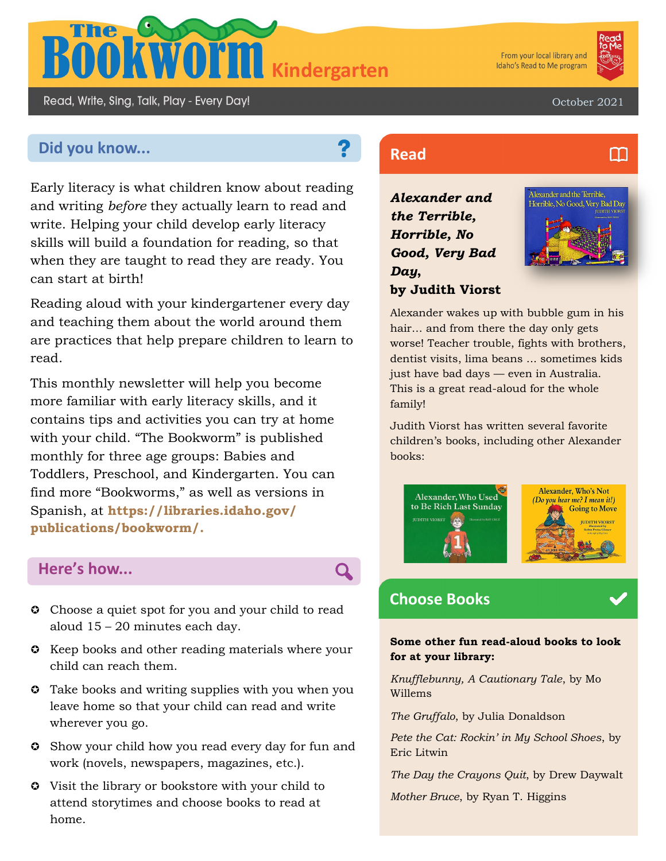

From your local library and Idaho's Read to Me program



m

Read, Write, Sing, Talk, Play - Every Day!

October 2021

# **Did you know... Read Read**

Early literacy is what children know about reading and writing *before* they actually learn to read and write. Helping your child develop early literacy skills will build a foundation for reading, so that when they are taught to read they are ready. You can start at birth!

Reading aloud with your kindergartener every day and teaching them about the world around them are practices that help prepare children to learn to read.

This monthly newsletter will help you become more familiar with early literacy skills, and it contains tips and activities you can try at home with your child. "The Bookworm" is published monthly for three age groups: Babies and Toddlers, Preschool, and Kindergarten. You can find more "Bookworms," as well as versions in Spanish, at **https://libraries.idaho.gov/ publications/bookworm/.** 

#### **Here's how...**

- **C** Choose a quiet spot for you and your child to read aloud 15 – 20 minutes each day.
- $\odot$  Keep books and other reading materials where your child can reach them.
- **C** Take books and writing supplies with you when you leave home so that your child can read and write wherever you go.
- Show your child how you read every day for fun and work (novels, newspapers, magazines, etc.).
- Visit the library or bookstore with your child to attend storytimes and choose books to read at home.

*Alexander and the Terrible, Horrible, No Good, Very Bad Day***, by Judith Viorst**



Alexander wakes up with bubble gum in his hair… and from there the day only gets worse! Teacher trouble, fights with brothers, dentist visits, lima beans ... sometimes kids just have bad days — even in Australia. This is a great read-aloud for the whole family!

Judith Viorst has written several favorite children's books, including other Alexander books:



# **Choose Books**

Q

**Some other fun read-aloud books to look for at your library:**

*Knufflebunny, A Cautionary Tale*, by Mo Willems

*The Gruffalo*, by Julia Donaldson

*Pete the Cat: Rockin' in My School Shoes*, by Eric Litwin

*The Day the Crayons Quit*, by Drew Daywalt

*Mother Bruce*, by Ryan T. Higgins